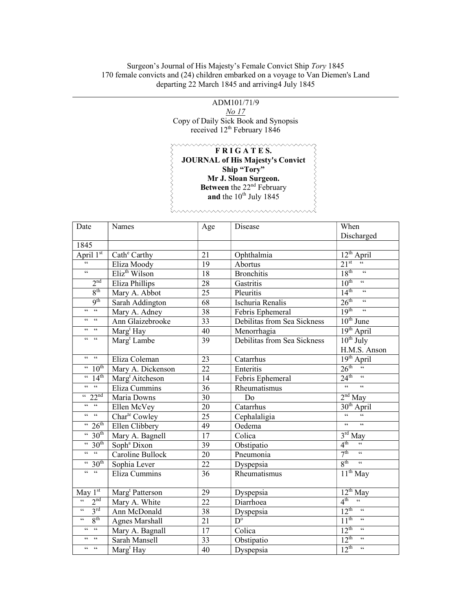## Surgeon's Journal of His Majesty's Female Convict Ship Tory 1845 170 female convicts and (24) children embarked on a voyage to Van Diemen's Land departing 22 March 1845 and arriving4 July 1845

l

ADM101/71/9 No 17 Copy of Daily Sick Book and Synopsis received 12<sup>th</sup> February 1846

## $\overbrace{F \ R \ I \ G \ A \ T \ E \ S.}$ くくくくくくくくくくくく JOURNAL of His Majesty's Convict Ship "Tory" Mr J. Sloan Surgeon. Between the  $22<sup>nd</sup>$  February and the  $10^{th}$  July 1845

 $\lambda$ 

| Date                                         | Names                       | Age             | Disease                           | When                                                     |
|----------------------------------------------|-----------------------------|-----------------|-----------------------------------|----------------------------------------------------------|
|                                              |                             |                 |                                   | Discharged                                               |
| 1845                                         |                             |                 |                                   |                                                          |
| April 1st                                    | Cath <sup>e</sup> Carthy    | 21              | Ophthalmia                        | $12^{th}$ April                                          |
|                                              | Eliza Moody                 | 19              | Abortus                           | $21^{st}$<br>$\textsf{G}\,\textsf{G}$                    |
| $\overline{\mathfrak{c}\mathfrak{c}}$        | Eliz <sup>th</sup> Wilson   | 18              | <b>Bronchitis</b>                 | $18^{\text{th}}$<br>66                                   |
| 2 <sup>nd</sup>                              | Eliza Phillips              | $\overline{28}$ | Gastritis                         | $10^{th}$ $\cdot$                                        |
| 8 <sup>th</sup>                              | Mary A. Abbot               | 25              | Pleuritis                         | $\frac{1}{14}$ $\frac{4}{14}$ $\frac{1}{14}$             |
| 9 <sup>th</sup>                              | Sarah Addington             | 68              | Ischuria Renalis                  | $26^{\text{th}}$ "                                       |
| $\frac{1}{2}$                                | Mary A. Adney               | 38              | Febris Ephemeral                  | 19 <sup>th</sup><br>$\overline{\mathbf{G}}$              |
| $66 - 66$                                    | Ann Glaizebrooke            | 33              | Debilitas from Sea Sickness       | $\overline{10^{th}$ June                                 |
| $66 - 66$                                    | Marg <sup>t</sup> Hay       | 40              | Menorrhagia                       | 19 <sup>th</sup> April                                   |
| $66 - 66$                                    | Marg <sup>t</sup> Lambe     | 39              | Debilitas from Sea Sickness       | $10^{th}$ July                                           |
|                                              |                             |                 |                                   | H.M.S. Anson                                             |
| $66 - 66$                                    | Eliza Coleman               | 23              | Catarrhus                         | 19 <sup>th</sup> April                                   |
| $\cdot \cdot 10^{\text{th}}$                 | Mary A. Dickenson           | $\overline{22}$ | Enteritis                         | $26^{\text{th}}$                                         |
| $\sqrt{14^{th}}$                             | Marg <sup>t</sup> Aitcheson | 14              | Febris Ephemeral                  | $24^{\text{th}}$ "                                       |
| $66 - 66$                                    | Eliza Cummins               | 36              | Rheumatismus                      | $\epsilon$<br>66                                         |
| $\frac{1}{22}$ <sup>nd</sup>                 | Maria Downs                 | 30              | Do                                | $2nd$ May                                                |
| $66 - 66$                                    | Ellen McVey                 | 20              | Catarrhus                         | $30th$ April                                             |
| $66 - 66$                                    | Char <sup>te</sup> Cowley   | 25              | $\overline{\text{C}}$ ephalaligia | $\epsilon$<br>$\epsilon\,\epsilon$                       |
| $\frac{1}{26}$                               | Ellen Clibbery              | 49              | Oedema                            | 66<br>$\epsilon\,\epsilon$                               |
| $\cdot \cdot 30$ <sup>th</sup>               | Mary A. Bagnell             | $\overline{17}$ | Colica                            | $3rd$ May                                                |
| $\frac{1}{20}$                               | Soph <sup>a</sup> Dixon     | 39              | Obstipatio                        | 4 <sup>th</sup><br>$\epsilon\,\epsilon$                  |
| $66 - 66$                                    | Caroline Bullock            | 20              | Pneumonia                         | 7 <sup>th</sup><br>$\epsilon\epsilon$                    |
| $\frac{4}{30^{\text{th}}}$                   | Sophia Lever                | 22              | Dyspepsia                         | 8 <sup>th</sup><br>$\zeta$ $\zeta$                       |
| $\overline{66}$ = $\overline{66}$            | Eliza Cummins               | 36              | Rheumatismus                      | $\overline{11^{th}}$ May                                 |
|                                              |                             |                 |                                   |                                                          |
| May $1st$                                    | Marg <sup>t</sup> Patterson | 29              | Dyspepsia                         | $12^{th}$ May                                            |
| $\overline{\mathbf{G}}$<br>2 <sup>nd</sup>   | Mary A. White               | 22              | Diarrhoea                         | $4^{\text{th}}$<br>$\overline{\mathfrak{c}\mathfrak{c}}$ |
| 3 <sup>rd</sup><br>$\zeta$ $\zeta$           | Ann McDonald                | 38              | Dyspepsia                         | $12^{th}$<br>$\zeta\,\zeta$                              |
| $8^{\text{th}}$<br>$\zeta$ $\zeta$           | <b>Agnes Marshall</b>       | 21              | $D^{\circ}$                       | $11^{th}$<br>$\epsilon\,\epsilon$                        |
| $\mathsf{GC} = \mathsf{GC}$                  | Mary A. Bagnall             | 17              | Colica                            | $12^{\text{th}}$<br>$\zeta\,\zeta$                       |
| $\epsilon\,\epsilon$<br>$\mbox{G}\,\mbox{G}$ | Sarah Mansell               | $\overline{33}$ | Obstipatio                        | $12^{th}$<br>$\overline{\mathfrak{c}}$                   |
| $66 \qquad 66$                               | Marg <sup>t</sup> Hay       | 40              | Dyspepsia                         | $12^{th}$<br>$\overline{66}$                             |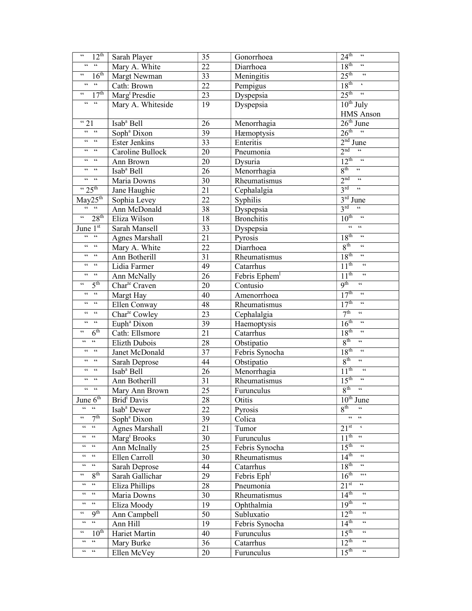| $\textsf{G}\,\textsf{G}$<br>$12^{\text{th}}$                                     | Sarah Player              | 35              | Gonorrhoea                | $24^{\text{th}}$<br>$\boldsymbol{\zeta}\,\boldsymbol{\zeta}$               |
|----------------------------------------------------------------------------------|---------------------------|-----------------|---------------------------|----------------------------------------------------------------------------|
| $\epsilon\epsilon=-\epsilon\epsilon$                                             | Mary A. White             | 22              | Diarrhoea                 | 18 <sup>th</sup><br>$\zeta$ $\zeta$                                        |
| 16 <sup>th</sup><br>$\zeta \, \zeta$                                             | Margt Newman              | 33              | Meningitis                | $25^{\text{th}}$<br>$\zeta\,\zeta$                                         |
| $\zeta\,\zeta$<br>$\mathsf{c}\,\mathsf{c}$                                       | Cath: Brown               | 22              | Pempigus                  | 18 <sup>th</sup><br>$\pmb{\zeta}$                                          |
| $\overline{17^{th}}$<br>$\mathsf{G}\,\mathsf{G}$                                 | Marg <sup>t</sup> Presdie | 23              | Dyspepsia                 | $25^{\text{th}}$<br>$\zeta\,\zeta$                                         |
| $\zeta\,\zeta$<br>$\zeta\,\zeta$                                                 | Mary A. Whiteside         | 19              | Dyspepsia                 | $10^{th}$ July                                                             |
|                                                                                  |                           |                 |                           | <b>HMS</b> Anson                                                           |
| "21                                                                              | Isab <sup>a</sup> Bell    | 26              | Menorrhagia               | $26th$ June                                                                |
| $66-66$                                                                          | Soph <sup>a</sup> Dixon   | 39              | Hæmoptysis                | $26^{\text{th}}$ "                                                         |
| $66 - 66$                                                                        | <b>Ester Jenkins</b>      | 33              | Enteritis                 | $2nd$ June                                                                 |
| $66-66$                                                                          | Caroline Bullock          | 20              | Pneumonia                 | 2 <sup>nd</sup><br>$\zeta\,\zeta$                                          |
| $66 - 66$                                                                        | Ann Brown                 | 20              | Dysuria                   | $12^{\text{th}}$<br>$-66$                                                  |
| $\epsilon$ $\epsilon$<br>$\textsf{G}\,\textsf{G}$                                | Isab <sup>ª</sup> Bell    | 26              | Menorrhagia               | $8^{\text{th}}$                                                            |
| $66-66$                                                                          | Maria Downs               | 30              | Rheumatismus              | $2^{nd}$ "                                                                 |
| $\frac{1}{25}$                                                                   | Jane Haughie              | 21              | Cephalalgia               | $3^{\text{rd}}$<br>$\overline{\mathfrak{c}\mathfrak{c}}$                   |
| May25 <sup>th</sup>                                                              | Sophia Levey              | 22              | Syphilis                  | $3rd$ June                                                                 |
| $66 - 66$                                                                        | Ann McDonald              | 38              | Dyspepsia                 | 3 <sup>rd</sup><br>$\zeta\,\zeta$                                          |
| 28 <sup>th</sup><br>$\boldsymbol{\varsigma} \, \boldsymbol{\varsigma}$           | Eliza Wilson              | 18              | <b>Bronchitis</b>         | 10 <sup>th</sup>                                                           |
| June $1^{\overline{st}}$                                                         | Sarah Mansell             | 33              | Dyspepsia                 | $66 - 66$                                                                  |
| $\epsilon\,\epsilon=-\epsilon\,\epsilon$                                         | <b>Agnes Marshall</b>     | 21              | Pyrosis                   | 18 <sup>th</sup><br>$\zeta\,\zeta$                                         |
| $\zeta\,\zeta$<br>$\epsilon\,\epsilon$                                           | Mary A. White             | 22              | Diarrhoea                 | 8 <sup>th</sup><br>$\zeta\,\zeta$                                          |
| $66-66$                                                                          | Ann Botherill             | 31              | Rheumatismus              | $18^{th}$<br>$\zeta\,\zeta$                                                |
| $\mathsf{GC} = \mathsf{GC}$                                                      | Lidia Farmer              | 49              | Catarrhus                 | $1\overline{1^{th}}$<br>$\zeta\,\zeta$                                     |
| $\epsilon\epsilon=-\epsilon\epsilon$                                             | Ann McNally               | 26              | Febris Ephem <sup>1</sup> | 11 <sup>th</sup><br>$\zeta$ $\zeta$                                        |
| 5 <sup>th</sup><br>66                                                            | Char <sup>te</sup> Craven | 20              | Contusio                  | 9 <sup>th</sup><br>$\zeta\,\zeta$                                          |
| $\overline{\mathfrak{c}}$<br>$\boldsymbol{\zeta}\,\boldsymbol{\zeta}$            | Margt Hay                 | 40              | Amenorrhoea               | 17 <sup>th</sup><br>$\zeta\,\zeta$                                         |
| $\mathsf{GC} = \mathsf{GC}$                                                      | Ellen Conway              | 48              | Rheumatismus              | 17 <sup>th</sup><br>$\zeta\,\zeta$                                         |
| $\,$ $\,$ $\,$ $\,$ $\,$ $\,$ $\,$<br>$\boldsymbol{\zeta} \, \boldsymbol{\zeta}$ | Char <sup>te</sup> Cowley | 23              | Cephalalgia               | 7 <sup>th</sup><br>$\zeta\,\zeta$                                          |
| $\zeta\,\zeta$                                                                   | Euph <sup>ª</sup> Dixon   | 39              | Haemoptysis               | 16 <sup>th</sup><br>$\zeta\,\zeta$                                         |
| 6 <sup>th</sup><br>66                                                            | Cath: Ellsmore            | 21              | Catarrhus                 | 18 <sup>th</sup><br>$\zeta$ $\zeta$                                        |
| $\zeta\,\zeta$<br>$\mathsf{G}\,\mathsf{G}$                                       | Elizth Dubois             | 28              | Obstipatio                | 8 <sup>th</sup><br>$\boldsymbol{\zeta} \, \boldsymbol{\zeta}$              |
| $\zeta\,\zeta$                                                                   | Janet McDonald            | $\overline{37}$ | Febris Synocha            | 18 <sup>th</sup><br>$\zeta$ $\zeta$                                        |
| $\leftrightsquigarrow$<br>$\,$ $\,$ $\,$ $\,$                                    | Sarah Deprose             | 44              | Obstipatio                | 8 <sup>th</sup><br>$\textsf{G}\,\textsf{G}$                                |
| $\,$ $\,$ $\,$ $\,$ $\,$ $\,$                                                    | Isab <sup>ª</sup> Bell    | 26              | Menorrhagia               | 11 <sup>th</sup><br>$\zeta\,\zeta$                                         |
| $\boldsymbol{\zeta}\,\boldsymbol{\zeta}$<br>$\zeta\,\zeta$                       | Ann Botherill             | 31              | Rheumatismus              | 15 <sup>th</sup><br>$\zeta$ $\zeta$                                        |
| $\epsilon \, \epsilon$<br>$\textcolor{red}{\bullet}\textcolor{red}{\bullet}$     | Mary Ann Brown            | 25              | Furunculus                | $\boldsymbol{\varsigma}\,\boldsymbol{\varsigma}$<br>8 <sup>th</sup>        |
| June $6th$                                                                       | Brid <sup>t</sup> Davis   | 28              | Otitis                    | $10th$ June                                                                |
| $\boldsymbol{\varsigma}$ $\boldsymbol{\varsigma}$<br>$\zeta\,\zeta$              | Isab <sup>ª</sup> Dewer   | 22              | <b>Pyrosis</b>            | 8 <sup>th</sup>                                                            |
| 7 <sup>th</sup><br>$\zeta$ $\zeta$                                               | Soph <sup>ª</sup> Dixon   | 39              | Colica                    | $\boldsymbol{\varsigma} \, \boldsymbol{\varsigma}$<br>$\mbox{4}\,\mbox{4}$ |
| $66 -$<br>$\textsf{6}\,\textsf{6}$                                               | <b>Agnes Marshall</b>     | 21              | Tumor                     | $21^{st}$                                                                  |
| $\,$ 6 6 $\,$<br>66                                                              | Marg <sup>t</sup> Brooks  | 30              | Furunculus                | $11^{th}$<br>$\epsilon$ $\epsilon$                                         |
| 66<br>66                                                                         | Ann McInally              | 25              | Febris Synocha            | 15 <sup>th</sup><br>$\,$ 6 6 $\,$                                          |
| 66<br>66                                                                         | Ellen Carroll             | 30              | Rheumatismus              | 14 <sup>th</sup><br>$\zeta\,\zeta$                                         |
| $\textsf{G}\,\textsf{G}$                                                         | Sarah Deprose             | 44              | Catarrhus                 | 18 <sup>th</sup><br>$\boldsymbol{\zeta} \, \boldsymbol{\zeta}$             |
| 8 <sup>th</sup><br>$\zeta$ $\zeta$                                               | Sarah Gallichar           | 29              | Febris Eph                | $16^{th}$<br>$\textsf{c}\,\textsf{c}\,\textsf{c}$                          |
| $\boldsymbol{\zeta} \, \boldsymbol{\zeta}$<br>$\,66$                             | Eliza Phillips            | 28              | Pneumonia                 | $21^{st}$<br>$\,$ $\,$ $\,$ $\,$ $\,$ $\,$                                 |
| $\textsf{G}\,\textsf{G}$                                                         | Maria Downs               | 30              | Rheumatismus              | 14 <sup>th</sup><br>$\zeta\,\zeta$                                         |
| $\,$ 6 $\,$<br>$\textsf{G}\,\textsf{G}$                                          | Eliza Moody               | 19              | Ophthalmia                | 19 <sup>th</sup><br>$\boldsymbol{\zeta} \, \boldsymbol{\zeta}$             |
| $9^{\overline{th}}$<br>$\zeta \, \zeta$                                          | Ann Campbell              | 50              | Subluxatio                | $12^{th}$<br>$\zeta$ $\zeta$                                               |
| $\mbox{\bf c}$ $\mbox{\bf c}$<br>$\,$ $\,$ $\,$ $\,$                             | Ann Hill                  | 19              | Febris Synocha            | 14 <sup>th</sup><br>$\mathsf{c}\,\mathsf{c}$                               |
| $10^{\overline{\text{th}}}$                                                      | Hariet Martin             | 40              | Furunculus                | 15 <sup>th</sup><br>$\boldsymbol{\zeta} \, \boldsymbol{\zeta}$             |
| $\textsf{G}\,\textsf{G}$<br>$\textsf{G}\,\textsf{G}$                             | Mary Burke                | 36              | Catarrhus                 | $12^{th}$<br>66                                                            |
| $\textcolor{red}{\bullet}\textcolor{red}{\bullet}$<br>$\,$ $\,$ $\,$ $\,$        | Ellen McVey               | 20              | Furunculus                | 15 <sup>th</sup><br>$\zeta\,\zeta$                                         |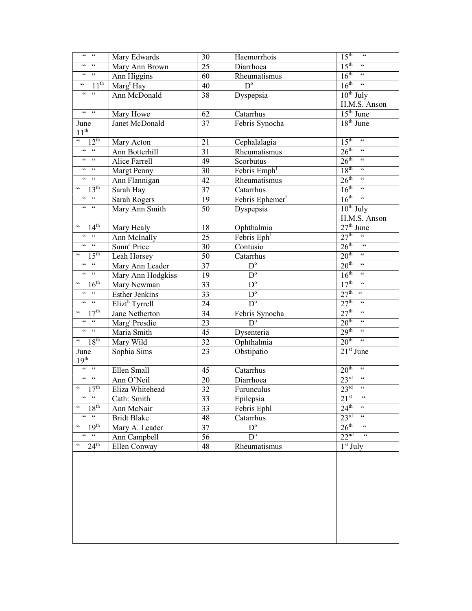| $\,$ 6 6<br>$\textsf{G}\,\textsf{G}$                                  | Mary Edwards               | 30 | Haemorrhois              | $15^{\text{th}}$<br>$\zeta\,\zeta$                        |
|-----------------------------------------------------------------------|----------------------------|----|--------------------------|-----------------------------------------------------------|
| $66 - 66$                                                             | Mary Ann Brown             | 25 | Diarrhoea                | $15^{\text{th}}$<br>$\zeta\,\zeta$                        |
| $\mathsf{G}\mathsf{G}=\mathsf{G}\mathsf{G}$                           | Ann Higgins                | 60 | Rheumatismus             | $16^{\text{th}}$<br>$\zeta$ $\zeta$                       |
| $1\overline{1^{\text{th}}}$<br>$\zeta\,\zeta$                         | Marg <sup>t</sup> Hay      | 40 | $\overline{D^{\circ}}$   | 16 <sup>th</sup><br>$\zeta\,\zeta$                        |
| $\begin{array}{ccc} 6 & 6 & 6 \end{array}$                            | Ann McDonald               | 38 | Dyspepsia                | $10^{th}$ July                                            |
|                                                                       |                            |    |                          | H.M.S. Anson                                              |
| $66-66$                                                               | Mary Howe                  | 62 | Catarrhus                | $15th$ June                                               |
| June                                                                  | Janet McDonald             | 37 | Febris Synocha           | $18th$ June                                               |
| $11^{\text{th}}$                                                      |                            |    |                          |                                                           |
| $\epsilon$ $\epsilon$<br>$12^{th}$                                    | Mary Acton                 | 21 | Cephalalagia             | $15^{\text{th}}$<br>$\zeta\,\zeta$                        |
| $\mathsf{GC} = \mathsf{GC}$                                           | Ann Botterhill             | 31 | Rheumatismus             | 26 <sup>th</sup><br>$\zeta\,\zeta$                        |
| $66$ $-66$                                                            | Alice Farrell              | 49 | Scorbutus                | $26^{\text{th}}$ "                                        |
| $\mathsf{G}\mathsf{G}=\mathsf{G}\mathsf{G}$                           | <b>Margt Penny</b>         | 30 | Febris Emph <sup>1</sup> | $18^{\text{th}}$<br>$\zeta\,\zeta$                        |
| $\mathsf{GC} = \mathsf{GC}$                                           | Ann Flannigan              | 42 | Rheumatismus             | $26^{\text{th}}$ "                                        |
| $\boldsymbol{\varsigma}$ $\boldsymbol{\varsigma}$<br>13 <sup>th</sup> | Sarah Hay                  | 37 | Catarrhus                | $16^{\text{th}}$<br>$\zeta\,\zeta$                        |
| $\epsilon\,\epsilon=-\epsilon\,\epsilon$                              | Sarah Rogers               | 19 | Febris Ephemer           | $16^{\text{th}}$ "                                        |
| $66-66$                                                               | Mary Ann Smith             | 50 | Dyspepsia                | $10^{th}$ July                                            |
|                                                                       |                            |    |                          | H.M.S. Anson                                              |
| $\mathsf{G} \mathsf{G}$<br>14 <sup>th</sup>                           | Mary Healy                 | 18 | Ophthalmia               | $27th$ June                                               |
| $66-66$                                                               | Ann McInally               | 25 | Febris Eph               | 27 <sup>th</sup><br>66                                    |
| $66-66$                                                               | Sunn <sup>a</sup> Price    | 30 | Contusio                 | $26^{\text{th}}$<br>$\epsilon$                            |
| 15 <sup>th</sup><br>66                                                | Leah Horsey                | 50 | Catarrhus                | 20 <sup>th</sup><br>$\zeta\,\zeta$                        |
| $\mathsf{GC} = \mathsf{GC}$                                           | Mary Ann Leader            | 37 | $D^{\circ}$              | 20 <sup>th</sup><br>$\zeta$ $\zeta$                       |
| $\mathsf{GC} = \mathsf{GC}$                                           | Mary Ann Hodgkiss          | 19 | $D^{\circ}$              | 16 <sup>th</sup><br>$\zeta$ $\zeta$                       |
| 16 <sup>th</sup><br>$\textsf{c}\,\textsf{c}$                          | Mary Newman                | 33 | $\overline{D^{\circ}}$   | 17 <sup>th</sup><br>$\zeta \zeta$                         |
| $\mathsf{cc}=\mathsf{cc}$                                             | <b>Esther Jenkins</b>      | 33 | $\overline{D^{\circ}}$   | $27^{\text{th}}$ $\frac{1}{2}$                            |
| $\mathfrak{c}\mathfrak{c}=\mathfrak{c}\mathfrak{c}$                   | Elizt <sup>h</sup> Tyrrell | 24 | $\overline{D^{\circ}}$   | 27 <sup>th</sup><br>$\zeta\,\zeta$                        |
| 17 <sup>th</sup><br>$\zeta$ $\zeta$                                   | Jane Netherton             | 34 | Febris Synocha           | $27^{\text{th}}$<br>$\zeta\,\zeta$                        |
| $\epsilon\epsilon = \epsilon\epsilon$                                 | Marg <sup>t</sup> Presdie  | 23 | $D^{\circ}$              | 20 <sup>th</sup><br>$\zeta\,\zeta$                        |
| $\mathsf{cc}=\mathsf{cc}$                                             | Maria Smith                | 45 | Dysenteria               | 29 <sup>th</sup><br>$\zeta\,\zeta$                        |
| $\frac{18^{\text{th}}}{\text{th}}$                                    | Mary Wild                  | 32 | Ophthalmia               | $20^{\text{th}}$<br>$\zeta$ $\zeta$                       |
| June                                                                  | Sophia Sims                | 23 | Obstipatio               | $21st$ June                                               |
| 19 <sup>th</sup>                                                      |                            |    |                          |                                                           |
| $\epsilon\epsilon = \epsilon\epsilon$                                 | Ellen Small                | 45 | Catarrhus                | 20 <sup>th</sup><br>$\textsf{G}\,\textsf{G}$              |
| $66 - 66$                                                             | Ann O'Neil                 | 20 | Diarrhoea                | $23^{\text{rd}}$ "                                        |
| 17 <sup>th</sup><br>$\boldsymbol{\varsigma}$ $\boldsymbol{\varsigma}$ | Eliza Whitehead            | 32 | Furunculus               | $23^{\text{rd}}$<br>$\overline{\mathfrak{c}}\mathfrak{c}$ |
| $66 - 66$                                                             | Cath: Smith                | 33 | Epilepsia                | $21^{st}$<br>$\epsilon$ $\epsilon$                        |
| 18 <sup>th</sup><br>$\textsf{G}\,\textsf{G}$                          | Ann McNair                 | 33 | Febris Ephl              | $\zeta\,\zeta$<br>$24^{\text{th}}$                        |
| $66 - 66$                                                             | <b>Bridt Blake</b>         | 48 | Catarrhus                | 23 <sup>rd</sup><br>$\zeta\,\zeta$                        |
| 19 <sup>th</sup><br>66                                                | Mary A. Leader             | 37 | $\mathbf{D}^{\text{o}}$  | 26 <sup>th</sup><br>$\zeta\,\zeta$                        |
| $\mathsf{cc}=\mathsf{cc}$                                             | Ann Campbell               | 56 | $\overline{D^{\circ}}$   | 22 <sup>nd</sup><br>$\zeta$ $\zeta$                       |
| $24^{\text{th}}$<br>$\epsilon$ $\epsilon$                             | Ellen Conway               | 48 | Rheumatismus             | $1st$ July                                                |
|                                                                       |                            |    |                          |                                                           |
|                                                                       |                            |    |                          |                                                           |
|                                                                       |                            |    |                          |                                                           |
|                                                                       |                            |    |                          |                                                           |
|                                                                       |                            |    |                          |                                                           |
|                                                                       |                            |    |                          |                                                           |
|                                                                       |                            |    |                          |                                                           |
|                                                                       |                            |    |                          |                                                           |
|                                                                       |                            |    |                          |                                                           |
|                                                                       |                            |    |                          |                                                           |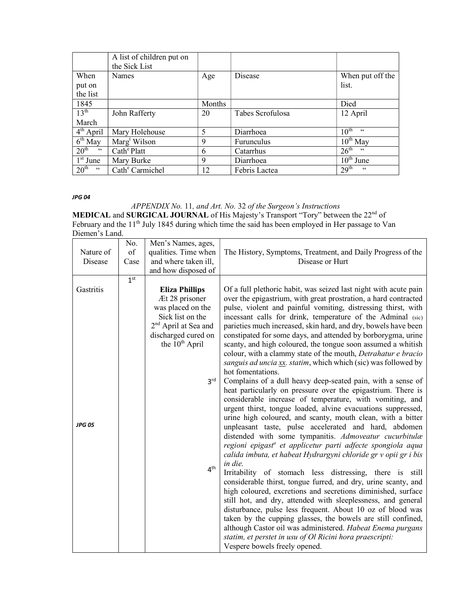|                                              | A list of children put on       |               |                  |                        |
|----------------------------------------------|---------------------------------|---------------|------------------|------------------------|
|                                              | the Sick List                   |               |                  |                        |
| When                                         | Names                           | Age           | Disease          | When put off the       |
| put on                                       |                                 |               |                  | list.                  |
| the list                                     |                                 |               |                  |                        |
| 1845                                         |                                 | <b>Months</b> |                  | Died                   |
| 13 <sup>th</sup>                             | John Rafferty                   | 20            | Tabes Scrofulosa | 12 April               |
| March                                        |                                 |               |                  |                        |
| $4th$ April                                  | Mary Holehouse                  | 5             | Diarrhoea        | 10 <sup>th</sup><br>66 |
| $6th$ May                                    | $\text{Marg}^{\text{t}}$ Wilson | 9             | Furunculus       | $10^{th}$ May          |
| 20 <sup>th</sup><br>$\textsf{G}\,\textsf{G}$ | $Cathe$ Platt                   | 6             | Catarrhus        | 26 <sup>th</sup><br>66 |
| $1st$ June                                   | Mary Burke                      | 9             | Diarrhoea        | $10^{\text{th}}$ June  |
| 20 <sup>th</sup><br>$\epsilon$ $\epsilon$    | Cath <sup>e</sup> Carmichel     | 12            | Febris Lactea    | 29 <sup>th</sup><br>66 |

JPG 04

APPENDIX No. 11, and Art. No. 32 of the Surgeon's Instructions **MEDICAL and SURGICAL JOURNAL** of His Majesty's Transport "Tory" between the  $22<sup>nd</sup>$  of February and the 11<sup>th</sup> July 1845 during which time the said has been employed in Her passage to Van

Diemen's Land.

|               | No.             | Men's Names, ages,               |                                                                                                                             |
|---------------|-----------------|----------------------------------|-----------------------------------------------------------------------------------------------------------------------------|
| Nature of     | of              | qualities. Time when             | The History, Symptoms, Treatment, and Daily Progress of the                                                                 |
| Disease       | Case            | and where taken ill,             | Disease or Hurt                                                                                                             |
|               |                 | and how disposed of              |                                                                                                                             |
|               | 1 <sup>st</sup> |                                  |                                                                                                                             |
| Gastritis     |                 | <b>Eliza Phillips</b>            | Of a full plethoric habit, was seized last night with acute pain                                                            |
|               |                 | Æt 28 prisoner                   | over the epigastrium, with great prostration, a hard contracted                                                             |
|               |                 | was placed on the                | pulse, violent and painful vomiting, distressing thirst, with                                                               |
|               |                 | Sick list on the                 | incessant calls for drink, temperature of the Adminal (sic)                                                                 |
|               |                 | 2 <sup>nd</sup> April at Sea and | parieties much increased, skin hard, and dry, bowels have been                                                              |
|               |                 | discharged cured on              | constipated for some days, and attended by borborygma, urine                                                                |
|               |                 | the $10^{th}$ April              | scanty, and high coloured, the tongue soon assumed a whitish                                                                |
|               |                 |                                  | colour, with a clammy state of the mouth, Detrahatur e bracio                                                               |
|               |                 |                                  | sanguis ad uncia xx. statim, which which (sic) was followed by                                                              |
|               |                 |                                  | hot fomentations.                                                                                                           |
|               |                 | $2^{\text{rd}}$                  | Complains of a dull heavy deep-seated pain, with a sense of                                                                 |
|               |                 |                                  | heat particularly on pressure over the epigastrium. There is                                                                |
|               |                 |                                  | considerable increase of temperature, with vomiting, and                                                                    |
|               |                 |                                  | urgent thirst, tongue loaded, alvine evacuations suppressed,<br>urine high coloured, and scanty, mouth clean, with a bitter |
| <b>JPG 05</b> |                 |                                  | unpleasant taste, pulse accelerated and hard, abdomen                                                                       |
|               |                 |                                  | distended with some tympanitis. Admoveatur cucurbitulæ                                                                      |
|               |                 |                                  | regioni epigast <sup>a</sup> et applicetur parti adfecte spongiola aqua                                                     |
|               |                 |                                  | calida imbuta, et habeat Hydrargyni chloride gr v opii gr i bis                                                             |
|               |                 |                                  | in die.                                                                                                                     |
|               |                 | 4 <sup>th</sup>                  | Irritability of stomach less distressing, there is still                                                                    |
|               |                 |                                  | considerable thirst, tongue furred, and dry, urine scanty, and                                                              |
|               |                 |                                  | high coloured, excretions and secretions diminished, surface                                                                |
|               |                 |                                  | still hot, and dry, attended with sleeplessness, and general                                                                |
|               |                 |                                  | disturbance, pulse less frequent. About 10 oz of blood was                                                                  |
|               |                 |                                  | taken by the cupping glasses, the bowels are still confined,                                                                |
|               |                 |                                  | although Castor oil was administered. Habeat Enema purgans                                                                  |
|               |                 |                                  | statim, et perstet in usu of Ol Ricini hora praescripti:                                                                    |
|               |                 |                                  | Vespere bowels freely opened.                                                                                               |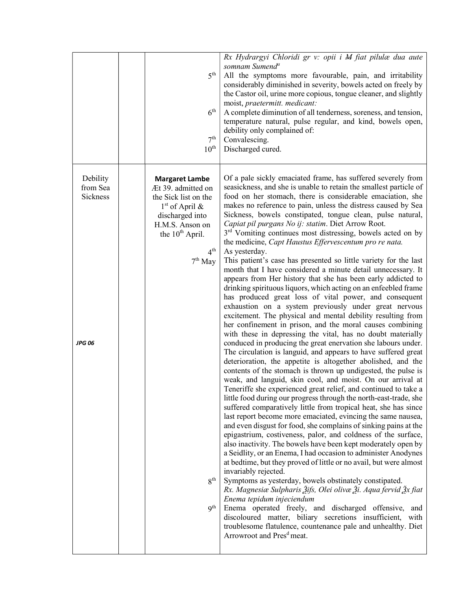|                                            | $5^{\text{th}}$<br>6 <sup>th</sup><br>7 <sup>th</sup><br>$10^{\text{th}}$                                                                                                                                                          | Rx Hydrargyi Chloridi gr v: opii i M fiat pilulæ dua aute<br>somnam Sumend <sup>a</sup><br>All the symptoms more favourable, pain, and irritability<br>considerably diminished in severity, bowels acted on freely by<br>the Castor oil, urine more copious, tongue cleaner, and slightly<br>moist, praetermitt. medicant:<br>A complete diminution of all tenderness, soreness, and tension,<br>temperature natural, pulse regular, and kind, bowels open,<br>debility only complained of:<br>Convalescing.<br>Discharged cured.                                                                                                                                                                                                                                                                                                                                                                                                                                                                                                                                                                                                                                                                                                                                                                                                                                                                                                                                                                                                                                                                                                                                                                                                                                                                                                                                                                                                                                                                                                                                                                                                                                                                                                                                                                                                                                                                                                                                                                                |
|--------------------------------------------|------------------------------------------------------------------------------------------------------------------------------------------------------------------------------------------------------------------------------------|------------------------------------------------------------------------------------------------------------------------------------------------------------------------------------------------------------------------------------------------------------------------------------------------------------------------------------------------------------------------------------------------------------------------------------------------------------------------------------------------------------------------------------------------------------------------------------------------------------------------------------------------------------------------------------------------------------------------------------------------------------------------------------------------------------------------------------------------------------------------------------------------------------------------------------------------------------------------------------------------------------------------------------------------------------------------------------------------------------------------------------------------------------------------------------------------------------------------------------------------------------------------------------------------------------------------------------------------------------------------------------------------------------------------------------------------------------------------------------------------------------------------------------------------------------------------------------------------------------------------------------------------------------------------------------------------------------------------------------------------------------------------------------------------------------------------------------------------------------------------------------------------------------------------------------------------------------------------------------------------------------------------------------------------------------------------------------------------------------------------------------------------------------------------------------------------------------------------------------------------------------------------------------------------------------------------------------------------------------------------------------------------------------------------------------------------------------------------------------------------------------------|
| Debility<br>from Sea<br>Sickness<br>JPG 06 | <b>Margaret Lambe</b><br>Æt 39. admitted on<br>the Sick list on the<br>$1st$ of April &<br>discharged into<br>H.M.S. Anson on<br>the 10 <sup>th</sup> April.<br>$4^{\text{th}}$<br>$7th$ May<br>8 <sup>th</sup><br>q <sup>th</sup> | Of a pale sickly emaciated frame, has suffered severely from<br>seasickness, and she is unable to retain the smallest particle of<br>food on her stomach, there is considerable emaciation, she<br>makes no reference to pain, unless the distress caused by Sea<br>Sickness, bowels constipated, tongue clean, pulse natural,<br>Capiat pil purgans No ij: statim. Diet Arrow Root.<br>3 <sup>rd</sup> Vomiting continues most distressing, bowels acted on by<br>the medicine, Capt Haustus Effervescentum pro re nata.<br>As yesterday.<br>This patient's case has presented so little variety for the last<br>month that I have considered a minute detail unnecessary. It<br>appears from Her history that she has been early addicted to<br>drinking spirituous liquors, which acting on an enfeebled frame<br>has produced great loss of vital power, and consequent<br>exhaustion on a system previously under great nervous<br>excitement. The physical and mental debility resulting from<br>her confinement in prison, and the moral causes combining<br>with these in depressing the vital, has no doubt materially<br>conduced in producing the great enervation she labours under.<br>The circulation is languid, and appears to have suffered great<br>deterioration, the appetite is altogether abolished, and the<br>contents of the stomach is thrown up undigested, the pulse is<br>weak, and languid, skin cool, and moist. On our arrival at<br>Teneriffe she experienced great relief, and continued to take a<br>little food during our progress through the north-east-trade, she<br>suffered comparatively little from tropical heat, she has since<br>last report become more emaciated, evincing the same nausea,<br>and even disgust for food, she complains of sinking pains at the<br>epigastrium, costiveness, palor, and coldness of the surface,<br>also inactivity. The bowels have been kept moderately open by<br>a Seidlity, or an Enema, I had occasion to administer Anodynes<br>at bedtime, but they proved of little or no avail, but were almost<br>invariably rejected.<br>Symptoms as yesterday, bowels obstinately constipated.<br>Rx. Magnesiæ Sulpharis Žifs, Olei olivæ Ži. Aqua fervid Žx fiat<br>Enema tepidum injeciendum<br>Enema operated freely, and discharged offensive,<br>and<br>discoloured matter, biliary secretions insufficient,<br>with<br>troublesome flatulence, countenance pale and unhealthy. Diet<br>Arrowroot and Pres <sup>d</sup> meat. |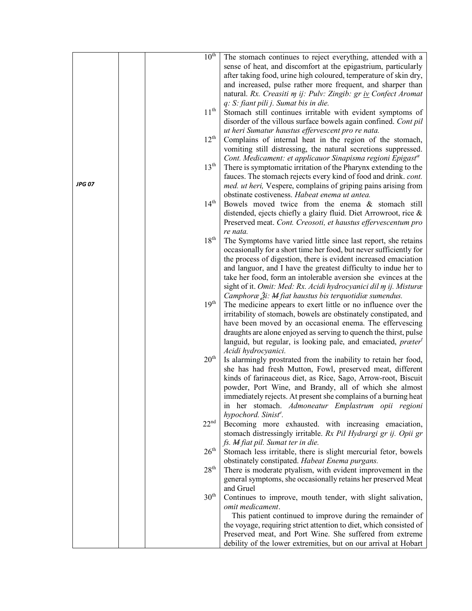|        | $10^{th}$        | The stomach continues to reject everything, attended with a                                                          |
|--------|------------------|----------------------------------------------------------------------------------------------------------------------|
|        |                  | sense of heat, and discomfort at the epigastrium, particularly                                                       |
|        |                  | after taking food, urine high coloured, temperature of skin dry,                                                     |
|        |                  | and increased, pulse rather more frequent, and sharper than                                                          |
|        |                  | natural. Rx. Creasiti m ij: Pulv: Zingib: gr iv Confect Aromat                                                       |
|        |                  | q: S: fiant pili j. Sumat bis in die.                                                                                |
|        | $11^{\text{th}}$ | Stomach still continues irritable with evident symptoms of                                                           |
|        |                  |                                                                                                                      |
|        |                  | disorder of the villous surface bowels again confined. Cont pil<br>ut heri Sumatur haustus effervescent pro re nata. |
|        | $12^{\text{th}}$ |                                                                                                                      |
|        |                  | Complains of internal heat in the region of the stomach,                                                             |
|        |                  | vomiting still distressing, the natural secretions suppressed.                                                       |
|        |                  | Cont. Medicament: et applicauor Sinapisma regioni Epigast <sup>®</sup>                                               |
|        | 13 <sup>th</sup> | There is symptomatic irritation of the Pharynx extending to the                                                      |
|        |                  | fauces. The stomach rejects every kind of food and drink. cont.                                                      |
| JPG 07 |                  | med. ut heri, Vespere, complains of griping pains arising from                                                       |
|        |                  | obstinate costiveness. Habeat enema ut antea.                                                                        |
|        | 14 <sup>th</sup> | Bowels moved twice from the enema & stomach still                                                                    |
|        |                  | distended, ejects chiefly a glairy fluid. Diet Arrowroot, rice &                                                     |
|        |                  | Preserved meat. Cont. Creosoti, et haustus effervescentum pro                                                        |
|        |                  | re nata.                                                                                                             |
|        | $18^{\text{th}}$ | The Symptoms have varied little since last report, she retains                                                       |
|        |                  | occasionally for a short time her food, but never sufficiently for                                                   |
|        |                  | the process of digestion, there is evident increased emaciation                                                      |
|        |                  | and languor, and I have the greatest difficulty to indue her to                                                      |
|        |                  | take her food, form an intolerable aversion she evinces at the                                                       |
|        |                  | sight of it. Omit: Med: Rx. Acidi hydrocyanici dil m ij. Misturæ                                                     |
|        |                  | Camphoræ $\tilde{A}$ : M fiat haustus bis terquotidiæ sumendus.                                                      |
|        | 19 <sup>th</sup> | The medicine appears to exert little or no influence over the                                                        |
|        |                  | irritability of stomach, bowels are obstinately constipated, and                                                     |
|        |                  | have been moved by an occasional enema. The effervescing                                                             |
|        |                  | draughts are alone enjoyed as serving to quench the thirst, pulse                                                    |
|        |                  | languid, but regular, is looking pale, and emaciated, præter <sup>t</sup>                                            |
|        |                  | Acidi hydrocyanici.                                                                                                  |
|        | 20 <sup>th</sup> | Is alarmingly prostrated from the inability to retain her food,                                                      |
|        |                  | she has had fresh Mutton, Fowl, preserved meat, different                                                            |
|        |                  | kinds of farinaceous diet, as Rice, Sago, Arrow-root, Biscuit                                                        |
|        |                  | powder, Port Wine, and Brandy, all of which she almost                                                               |
|        |                  | immediately rejects. At present she complains of a burning heat                                                      |
|        |                  | in her stomach. Admoneatur Emplastrum opii regioni                                                                   |
|        |                  | hypochord. Sinist <sup>e</sup> .                                                                                     |
|        | 22 <sup>nd</sup> | Becoming more exhausted. with increasing emaciation,                                                                 |
|        |                  | stomach distressingly irritable. Rx Pil Hydrargi gr ij. Opii gr                                                      |
|        |                  | fs. M fiat pil. Sumat ter in die.                                                                                    |
|        | $26^{\text{th}}$ | Stomach less irritable, there is slight mercurial fetor, bowels                                                      |
|        |                  | obstinately constipated. Habeat Enema purgans.                                                                       |
|        | 28 <sup>th</sup> | There is moderate ptyalism, with evident improvement in the                                                          |
|        |                  | general symptoms, she occasionally retains her preserved Meat                                                        |
|        |                  | and Gruel                                                                                                            |
|        | 30 <sup>th</sup> | Continues to improve, mouth tender, with slight salivation,                                                          |
|        |                  | omit medicament.                                                                                                     |
|        |                  | This patient continued to improve during the remainder of                                                            |
|        |                  | the voyage, requiring strict attention to diet, which consisted of                                                   |
|        |                  | Preserved meat, and Port Wine. She suffered from extreme                                                             |
|        |                  | debility of the lower extremities, but on our arrival at Hobart                                                      |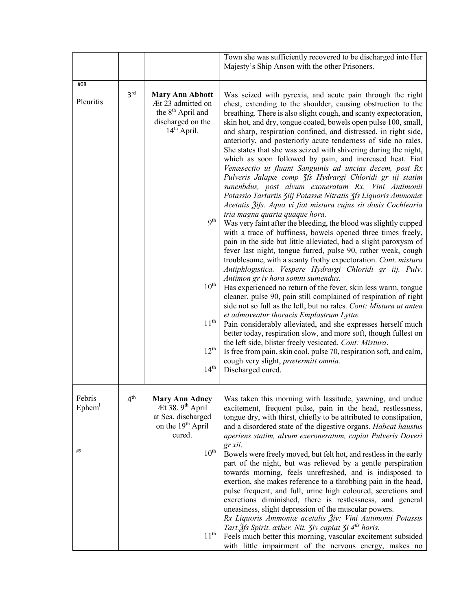|                                                                                                                        | Town she was sufficiently recovered to be discharged into Her<br>Majesty's Ship Anson with the other Prisoners.                                                                                                                                                                                                                                                                                                                                                                                                                                                                                                                                                                                                                                                                     |
|------------------------------------------------------------------------------------------------------------------------|-------------------------------------------------------------------------------------------------------------------------------------------------------------------------------------------------------------------------------------------------------------------------------------------------------------------------------------------------------------------------------------------------------------------------------------------------------------------------------------------------------------------------------------------------------------------------------------------------------------------------------------------------------------------------------------------------------------------------------------------------------------------------------------|
|                                                                                                                        |                                                                                                                                                                                                                                                                                                                                                                                                                                                                                                                                                                                                                                                                                                                                                                                     |
| <b>Mary Ann Abbott</b><br>Æt 23 admitted on<br>the 8 <sup>th</sup> April and<br>discharged on the<br>$14th$ April.     | Was seized with pyrexia, and acute pain through the right<br>chest, extending to the shoulder, causing obstruction to the<br>breathing. There is also slight cough, and scanty expectoration,<br>skin hot, and dry, tongue coated, bowels open pulse 100, small,<br>and sharp, respiration confined, and distressed, in right side,<br>anteriorly, and posteriorly acute tenderness of side no rales.<br>She states that she was seized with shivering during the night,<br>which as soon followed by pain, and increased heat. Fiat<br>Venæsectio ut fluant Sanguinis ad uncias decem, post Rx<br>Pulveris Jalapæ comp 3fs Hydrargi Chloridi gr iij statim<br>sunenbdus, post alvum exoneratam Rx. Vini Antimonii<br>Potassio Tartartis Ziij Potassæ Nitratis Zfs Liquoris Ammoniæ |
| 9 <sup>th</sup>                                                                                                        | Acetatis 3ifs. Aqua vi fiat mistura cujus sit dosis Cochlearia<br>tria magna quarta quaque hora.<br>Was very faint after the bleeding, the blood was slightly cupped<br>with a trace of buffiness, bowels opened three times freely,<br>pain in the side but little alleviated, had a slight paroxysm of<br>fever last night, tongue furred, pulse 90, rather weak, cough<br>troublesome, with a scanty frothy expectoration. Cont. mistura<br>Antiphlogistica. Vespere Hydrargi Chloridi gr iij. Pulv.                                                                                                                                                                                                                                                                             |
| $10^{\rm th}$                                                                                                          | Antimon gr iv hora somni sumendus.<br>Has experienced no return of the fever, skin less warm, tongue<br>cleaner, pulse 90, pain still complained of respiration of right                                                                                                                                                                                                                                                                                                                                                                                                                                                                                                                                                                                                            |
| $11^{\rm th}$<br>$12^{th}$                                                                                             | side not so full as the left, but no rales. Cont: Mistura ut antea<br>et admoveatur thoracis Emplastrum Lyttæ.<br>Pain considerably alleviated, and she expresses herself much<br>better today, respiration slow, and more soft, though fullest on<br>the left side, blister freely vesicated. Cont: Mistura.<br>Is free from pain, skin cool, pulse 70, respiration soft, and calm,<br>cough very slight, prætermitt omnia.                                                                                                                                                                                                                                                                                                                                                        |
|                                                                                                                        | Discharged cured.                                                                                                                                                                                                                                                                                                                                                                                                                                                                                                                                                                                                                                                                                                                                                                   |
| <b>Mary Ann Adney</b><br>Æt 38. 9 <sup>th</sup> April<br>at Sea, discharged<br>on the 19 <sup>th</sup> April<br>cured. | Was taken this morning with lassitude, yawning, and undue<br>excitement, frequent pulse, pain in the head, restlessness,<br>tongue dry, with thirst, chiefly to be attributed to constipation,<br>and a disordered state of the digestive organs. Habeat haustus<br>aperiens statim, alvum exeroneratum, capiat Pulveris Doveri                                                                                                                                                                                                                                                                                                                                                                                                                                                     |
| $10^{\rm th}$<br>11 <sup>th</sup>                                                                                      | gr xii.<br>Bowels were freely moved, but felt hot, and restless in the early<br>part of the night, but was relieved by a gentle perspiration<br>towards morning, feels unrefreshed, and is indisposed to<br>exertion, she makes reference to a throbbing pain in the head,<br>pulse frequent, and full, urine high coloured, secretions and<br>excretions diminished, there is restlessness, and general<br>uneasiness, slight depression of the muscular powers.<br>Rx Liquoris Ammoniæ acetalis Živ: Vini Autimonii Potassis<br>Tart. 2fs Spirit. æther. Nit. 3iv capiat 3i 4 <sup>tis</sup> horis.<br>Feels much better this morning, vascular excitement subsided<br>with little impairment of the nervous energy, makes no                                                     |
|                                                                                                                        | 14 <sup>th</sup>                                                                                                                                                                                                                                                                                                                                                                                                                                                                                                                                                                                                                                                                                                                                                                    |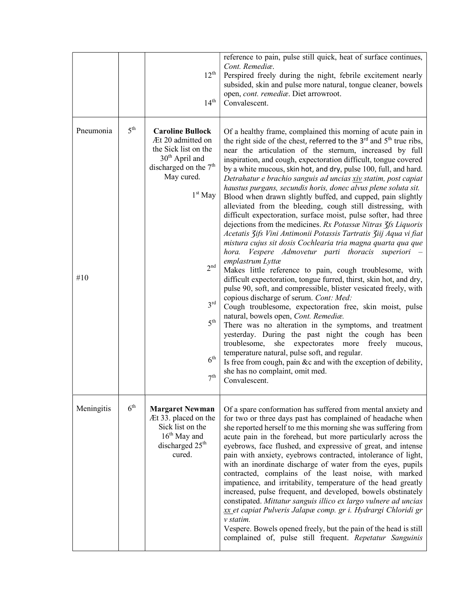|                  |                 | $12^{\text{th}}$<br>$14^{\text{th}}$                                                                                                                                                                                                                          | reference to pain, pulse still quick, heat of surface continues,<br>Cont. Remediæ.<br>Perspired freely during the night, febrile excitement nearly<br>subsided, skin and pulse more natural, tongue cleaner, bowels<br>open, cont. remediæ. Diet arrowroot.<br>Convalescent.                                                                                                                                                                                                                                                                                                                                                                                                                                                                                                                                                                                                                                                                                                                                                                                                                                                                                                                                                                                                                                                                                                                                                                                                                                                                                                                                                                                                                        |
|------------------|-----------------|---------------------------------------------------------------------------------------------------------------------------------------------------------------------------------------------------------------------------------------------------------------|-----------------------------------------------------------------------------------------------------------------------------------------------------------------------------------------------------------------------------------------------------------------------------------------------------------------------------------------------------------------------------------------------------------------------------------------------------------------------------------------------------------------------------------------------------------------------------------------------------------------------------------------------------------------------------------------------------------------------------------------------------------------------------------------------------------------------------------------------------------------------------------------------------------------------------------------------------------------------------------------------------------------------------------------------------------------------------------------------------------------------------------------------------------------------------------------------------------------------------------------------------------------------------------------------------------------------------------------------------------------------------------------------------------------------------------------------------------------------------------------------------------------------------------------------------------------------------------------------------------------------------------------------------------------------------------------------------|
| Pneumonia<br>#10 | $5^{\text{th}}$ | <b>Caroline Bullock</b><br>Æt 20 admitted on<br>the Sick list on the<br>$30th$ April and<br>discharged on the 7 <sup>th</sup><br>May cured.<br>$1^{\rm st}\,$ May<br>2 <sup>nd</sup><br>3 <sup>rd</sup><br>5 <sup>th</sup><br>$6^{\rm th}$<br>7 <sup>th</sup> | Of a healthy frame, complained this morning of acute pain in<br>the right side of the chest, referred to the 3 <sup>rd</sup> and 5 <sup>th</sup> true ribs,<br>near the articulation of the sternum, increased by full<br>inspiration, and cough, expectoration difficult, tongue covered<br>by a white mucous, skin hot, and dry, pulse 100, full, and hard.<br>Detrahatur e brachio sanguis ad uncias xiv statim, post capiat<br>haustus purgans, secundis horis, donec alvus plene soluta sit.<br>Blood when drawn slightly buffed, and cupped, pain slightly<br>alleviated from the bleeding, cough still distressing, with<br>difficult expectoration, surface moist, pulse softer, had three<br>dejections from the medicines. Rx Potassae Nitras 3fs Liquoris<br>Acetatis 3ifs Vini Antimonii Potassis Tartratis 3iij Aqua vi fiat<br>mistura cujus sit dosis Cochlearia tria magna quarta qua que<br>Vespere Admovetur parti thoracis superiori –<br>hora.<br>emplastrum Lyttæ<br>Makes little reference to pain, cough troublesome, with<br>difficult expectoration, tongue furred, thirst, skin hot, and dry,<br>pulse 90, soft, and compressible, blister vesicated freely, with<br>copious discharge of serum. Cont: Med:<br>Cough troublesome, expectoration free, skin moist, pulse<br>natural, bowels open, Cont. Remediæ.<br>There was no alteration in the symptoms, and treatment<br>yesterday. During the past night the cough has been<br>troublesome,<br>she<br>expectorates more<br>freely<br>mucous,<br>temperature natural, pulse soft, and regular.<br>Is free from cough, pain &c and with the exception of debility,<br>she has no complaint, omit med.<br>Convalescent. |
| Meningitis       | 6 <sup>th</sup> | <b>Margaret Newman</b><br>Æt 33. placed on the<br>Sick list on the<br>$16th$ May and<br>discharged 25 <sup>th</sup><br>cured.                                                                                                                                 | Of a spare conformation has suffered from mental anxiety and<br>for two or three days past has complained of headache when<br>she reported herself to me this morning she was suffering from<br>acute pain in the forehead, but more particularly across the<br>eyebrows, face flushed, and expressive of great, and intense<br>pain with anxiety, eyebrows contracted, intolerance of light,<br>with an inordinate discharge of water from the eyes, pupils<br>contracted, complains of the least noise, with marked<br>impatience, and irritability, temperature of the head greatly<br>increased, pulse frequent, and developed, bowels obstinately<br>constipated. Mittatur sanguis illico ex largo vulnere ad uncias<br>xx et capiat Pulveris Jalapæ comp. gr i. Hydrargi Chloridi gr<br>v statim.<br>Vespere. Bowels opened freely, but the pain of the head is still<br>complained of, pulse still frequent. Repetatur Sanguinis                                                                                                                                                                                                                                                                                                                                                                                                                                                                                                                                                                                                                                                                                                                                                             |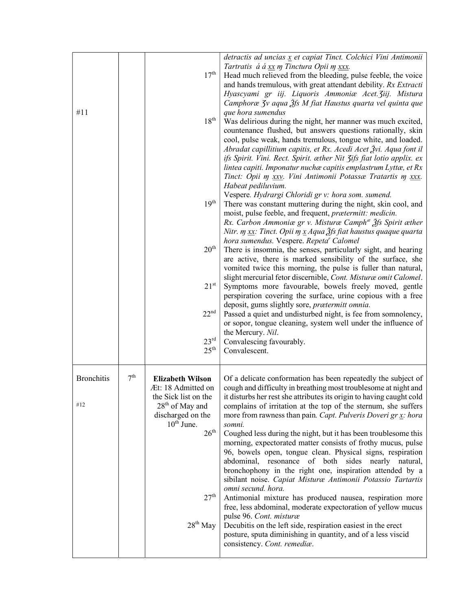| #11                      |                 | 17 <sup>th</sup><br>$18^{\text{th}}$<br>19 <sup>th</sup><br>$20^{\text{th}}$<br>$21^{\rm st}$<br>22 <sup>nd</sup><br>$23^{\rm rd}$<br>$25^{\text{th}}$                                | detractis ad uncias x et capiat Tinct. Colchici Vini Antimonii<br>Tartratis á á xx m Tinctura Opii m xxx.<br>Head much relieved from the bleeding, pulse feeble, the voice<br>and hands tremulous, with great attendant debility. Rx Extracti<br>Hyascyami gr iij. Liquoris Ammoniæ Acet. Ziij. Mistura<br>Camphoræ 3v aqua 3fs M fiat Haustus quarta vel quinta que<br>que hora sumendus<br>Was delirious during the night, her manner was much excited,<br>countenance flushed, but answers questions rationally, skin<br>cool, pulse weak, hands tremulous, tongue white, and loaded.<br>Abradat capillitium capitis, et Rx. Acedi Acet Žvi. Aqua font il<br>ifs Spirit. Vini. Rect. Spirit. æther Nit 3ifs fiat lotio applix. ex<br>lintea capiti. Imponatur nuchæ capitis emplastrum Lyttæ, et Rx<br>Tinct: Opii m xxv. Vini Antimonii Potassae Tratartis m xxx.<br>Habeat pediluvium.<br>Vespere. Hydrargi Chloridi gr v: hora som. sumend.<br>There was constant muttering during the night, skin cool, and<br>moist, pulse feeble, and frequent, prætermitt: medicin.<br>Rx. Carbon Ammoniæ gr v. Misturæ Camph <sup>æ</sup> 2fs Spirit æther<br>Nitr. m $xx$ : Tinct. Opii m $x$ Aqua $\tilde{A}$ fs fiat haustus quaque quarta<br>hora sumendus. Vespere. Repeta <sup>r</sup> Calomel<br>There is insomnia, the senses, particularly sight, and hearing<br>are active, there is marked sensibility of the surface, she<br>vomited twice this morning, the pulse is fuller than natural,<br>slight mercurial fetor discernible, Cont. Misturæ omit Calomel.<br>Symptoms more favourable, bowels freely moved, gentle<br>perspiration covering the surface, urine copious with a free<br>deposit, gums slightly sore, prætermitt omnia.<br>Passed a quiet and undisturbed night, is fee from somnolency,<br>or sopor, tongue cleaning, system well under the influence of<br>the Mercury. Nil.<br>Convalescing favourably.<br>Convalescent. |
|--------------------------|-----------------|---------------------------------------------------------------------------------------------------------------------------------------------------------------------------------------|-----------------------------------------------------------------------------------------------------------------------------------------------------------------------------------------------------------------------------------------------------------------------------------------------------------------------------------------------------------------------------------------------------------------------------------------------------------------------------------------------------------------------------------------------------------------------------------------------------------------------------------------------------------------------------------------------------------------------------------------------------------------------------------------------------------------------------------------------------------------------------------------------------------------------------------------------------------------------------------------------------------------------------------------------------------------------------------------------------------------------------------------------------------------------------------------------------------------------------------------------------------------------------------------------------------------------------------------------------------------------------------------------------------------------------------------------------------------------------------------------------------------------------------------------------------------------------------------------------------------------------------------------------------------------------------------------------------------------------------------------------------------------------------------------------------------------------------------------------------------------------------------------------------------------------------------------------|
| <b>Bronchitis</b><br>#12 | 7 <sup>th</sup> | <b>Elizabeth Wilson</b><br>Æt: 18 Admitted on<br>the Sick list on the<br>$28th$ of May and<br>discharged on the<br>$10th$ June.<br>$26^{\text{th}}$<br>27 <sup>th</sup><br>$28th$ May | Of a delicate conformation has been repeatedly the subject of<br>cough and difficulty in breathing most troublesome at night and<br>it disturbs her rest she attributes its origin to having caught cold<br>complains of irritation at the top of the sternum, she suffers<br>more from rawness than pain. Capt. Pulveris Doveri gr x: hora<br>somni.<br>Coughed less during the night, but it has been troublesome this<br>morning, expectorated matter consists of frothy mucus, pulse<br>96, bowels open, tongue clean. Physical signs, respiration<br>abdominal, resonance of both sides nearly natural,<br>bronchophony in the right one, inspiration attended by a<br>sibilant noise. Capiat Misturæ Antimonii Potassio Tartartis<br>omni secund. hora.<br>Antimonial mixture has produced nausea, respiration more<br>free, less abdominal, moderate expectoration of yellow mucus<br>pulse 96. Cont. misturæ<br>Decubitis on the left side, respiration easiest in the erect<br>posture, sputa diminishing in quantity, and of a less viscid<br>consistency. Cont. remediæ.                                                                                                                                                                                                                                                                                                                                                                                                                                                                                                                                                                                                                                                                                                                                                                                                                                                                 |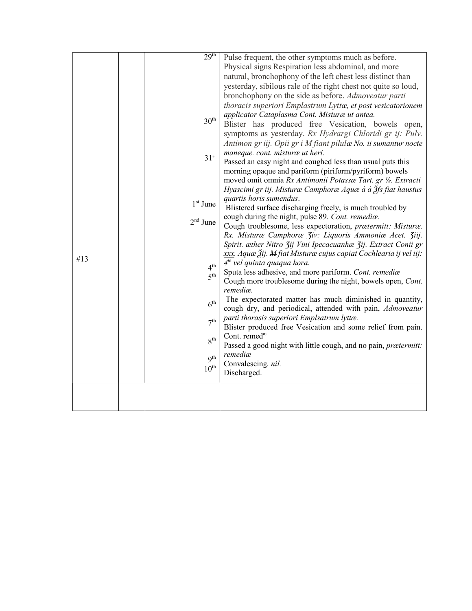|     | 29 <sup>th</sup> | Pulse frequent, the other symptoms much as before.                         |
|-----|------------------|----------------------------------------------------------------------------|
|     |                  | Physical signs Respiration less abdominal, and more                        |
|     |                  | natural, bronchophony of the left chest less distinct than                 |
|     |                  | yesterday, sibilous rale of the right chest not quite so loud,             |
|     |                  | bronchophony on the side as before. Admoveatur parti                       |
|     |                  | thoracis superiori Emplastrum Lyttæ, et post vesicatorionem                |
|     |                  |                                                                            |
|     | $30^{\text{th}}$ | applicator Cataplasma Cont. Misturæ ut antea.                              |
|     |                  | Blister has produced free Vesication, bowels open,                         |
|     |                  | symptoms as yesterday. Rx Hydrargi Chloridi gr ij: Pulv.                   |
|     |                  | Antimon gr iij. Opii gr i M fiant pilulæ No. ii sumantur nocte             |
|     | 31 <sup>st</sup> | maneque. cont. misturæ ut heri.                                            |
|     |                  | Passed an easy night and coughed less than usual puts this                 |
|     |                  | morning opaque and pariform (piriform/pyriform) bowels                     |
|     |                  | moved omit omnia Rx Antimonii Potassæ Tart. gr 1/8. Extracti               |
|     |                  | Hyascimi gr iij. Misturæ Camphoræ Aquæ á á $\tilde{A}$ fs fiat haustus     |
|     |                  | quartis horis sumendus.                                                    |
|     | $1st$ June       | Blistered surface discharging freely, is much troubled by                  |
|     |                  | cough during the night, pulse 89. Cont. remediæ.                           |
|     | $2nd$ June       | Cough troublesome, less expectoration, prætermitt: Misturæ.                |
|     |                  | Rx. Misturæ Camphoræ Ziv: Liquoris Ammoniæ Acet. Ziij.                     |
|     |                  | Spirit. æther Nitro Zij Vini Ipecacuanhæ Zij. Extract Conii gr             |
|     |                  | xxx. Aquæ Žij. M fiat Misturæ cujus capiat Cochlearia ij vel iij:          |
| #13 |                  | $4te$ vel quinta quaqua hora.                                              |
|     | $4^{\rm th}$     | Sputa less adhesive, and more pariform. Cont. remediæ                      |
|     | 5 <sup>th</sup>  | Cough more troublesome during the night, bowels open, Cont.                |
|     |                  | remediæ.                                                                   |
|     |                  | The expectorated matter has much diminished in quantity,                   |
|     | 6 <sup>th</sup>  | cough dry, and periodical, attended with pain, Admoveatur                  |
|     |                  | parti thorasis superiori Emplsatrum lyttæ.                                 |
|     | 7 <sup>th</sup>  | Blister produced free Vesication and some relief from pain.                |
|     |                  | Cont. remed <sup>®</sup>                                                   |
|     | 8 <sup>th</sup>  |                                                                            |
|     |                  | Passed a good night with little cough, and no pain, prætermitt:<br>remediæ |
|     | Q <sup>th</sup>  | Convalescing. nil.                                                         |
|     | $10^{\rm th}$    | Discharged.                                                                |
|     |                  |                                                                            |
|     |                  |                                                                            |
|     |                  |                                                                            |
|     |                  |                                                                            |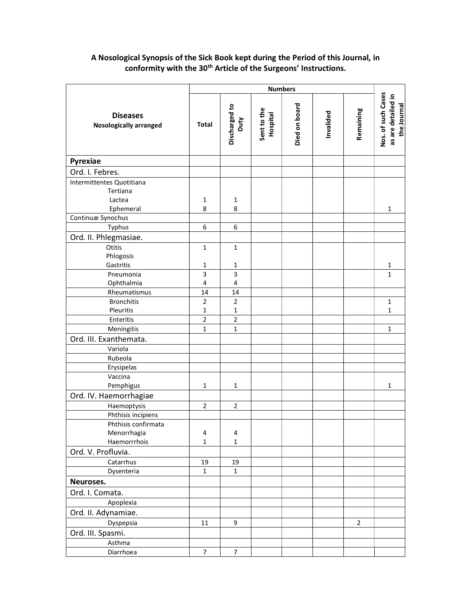## A Nosological Synopsis of the Sick Book kept during the Period of this Journal, in conformity with the 30<sup>th</sup> Article of the Surgeons' Instructions.

|                                                  | <b>Numbers</b>          |                       |                         |               |           |                |                                                         |
|--------------------------------------------------|-------------------------|-----------------------|-------------------------|---------------|-----------|----------------|---------------------------------------------------------|
| <b>Diseases</b><br><b>Nosologically arranged</b> | Total                   | Discharged to<br>Duty | Sent to the<br>Hospital | Died on board | Invalided | Remaining      | Nos. of such Cases<br>as are detailed in<br>the Journal |
| Pyrexiae                                         |                         |                       |                         |               |           |                |                                                         |
| Ord. I. Febres.                                  |                         |                       |                         |               |           |                |                                                         |
| Intermittentes Quotitiana                        |                         |                       |                         |               |           |                |                                                         |
| Tertiana                                         |                         |                       |                         |               |           |                |                                                         |
| Lactea                                           | $\mathbf{1}$            | $\mathbf 1$           |                         |               |           |                |                                                         |
| Ephemeral                                        | 8                       | 8                     |                         |               |           |                | $\mathbf{1}$                                            |
| Continuæ Synochus                                |                         |                       |                         |               |           |                |                                                         |
| Typhus                                           | 6                       | $\boldsymbol{6}$      |                         |               |           |                |                                                         |
| Ord. II. Phlegmasiae.                            |                         |                       |                         |               |           |                |                                                         |
| Otitis                                           | $\mathbf 1$             | $\mathbf 1$           |                         |               |           |                |                                                         |
| Phlogosis                                        |                         |                       |                         |               |           |                |                                                         |
| Gastritis                                        | 1                       | $\mathbf 1$           |                         |               |           |                | 1                                                       |
| Pneumonia                                        | 3                       | $\mathsf 3$           |                         |               |           |                | $\mathbf{1}$                                            |
| Ophthalmia                                       | $\overline{4}$          | $\sqrt{4}$            |                         |               |           |                |                                                         |
| Rheumatismus                                     | 14                      | 14                    |                         |               |           |                |                                                         |
| <b>Bronchitis</b>                                | $\mathbf 2$             | $\mathbf 2$           |                         |               |           |                | $\mathbf{1}$                                            |
| Pleuritis                                        | $\mathbf{1}$            | $\mathbf 1$           |                         |               |           |                | $\mathbf{1}$                                            |
| Enteritis                                        | $\overline{2}$          | $\overline{2}$        |                         |               |           |                |                                                         |
| Meningitis                                       | $\mathbf{1}$            | $\mathbf 1$           |                         |               |           |                | $\mathbf{1}$                                            |
| Ord. III. Exanthemata.                           |                         |                       |                         |               |           |                |                                                         |
| Variola                                          |                         |                       |                         |               |           |                |                                                         |
| Rubeola                                          |                         |                       |                         |               |           |                |                                                         |
| Erysipelas                                       |                         |                       |                         |               |           |                |                                                         |
| Vaccina                                          |                         |                       |                         |               |           |                |                                                         |
| Pemphigus                                        | $\mathbf{1}$            | $\mathbf{1}$          |                         |               |           |                | $\mathbf{1}$                                            |
| Ord. IV. Haemorrhagiae                           |                         |                       |                         |               |           |                |                                                         |
| Haemoptysis                                      | $\overline{2}$          | $\overline{2}$        |                         |               |           |                |                                                         |
| Phthisis incipiens                               |                         |                       |                         |               |           |                |                                                         |
| Phthisis confirmata                              |                         |                       |                         |               |           |                |                                                         |
| Menorrhagia                                      | $\overline{\mathbf{4}}$ | $\sqrt{4}$            |                         |               |           |                |                                                         |
| Haemorrrhois                                     | $\mathbf{1}$            | $\mathbf{1}$          |                         |               |           |                |                                                         |
| Ord. V. Profluvia.                               |                         |                       |                         |               |           |                |                                                         |
| Catarrhus                                        | 19                      | 19                    |                         |               |           |                |                                                         |
| Dysenteria                                       | $\mathbf{1}$            | $\mathbf{1}$          |                         |               |           |                |                                                         |
| Neuroses.                                        |                         |                       |                         |               |           |                |                                                         |
| Ord. I. Comata.                                  |                         |                       |                         |               |           |                |                                                         |
| Apoplexia                                        |                         |                       |                         |               |           |                |                                                         |
| Ord. II. Adynamiae.                              |                         |                       |                         |               |           |                |                                                         |
| Dyspepsia                                        | 11                      | 9                     |                         |               |           | $\overline{2}$ |                                                         |
| Ord. III. Spasmi.                                |                         |                       |                         |               |           |                |                                                         |
|                                                  |                         |                       |                         |               |           |                |                                                         |
| Asthma                                           | $\overline{7}$          | $\overline{7}$        |                         |               |           |                |                                                         |
| Diarrhoea                                        |                         |                       |                         |               |           |                |                                                         |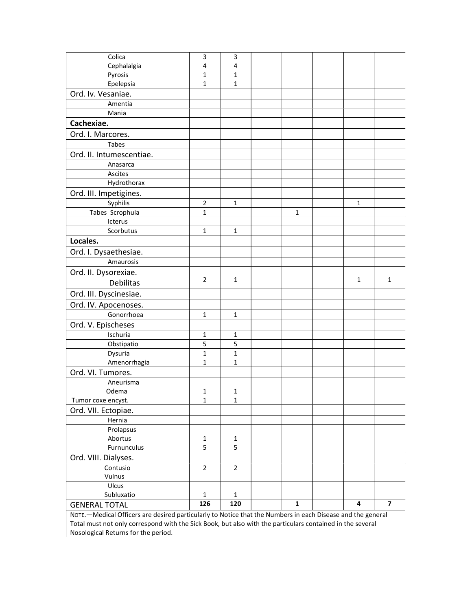| Colica                                                                                                     | 3              | 3              |              |  |             |                |
|------------------------------------------------------------------------------------------------------------|----------------|----------------|--------------|--|-------------|----------------|
| Cephalalgia                                                                                                | 4              | 4              |              |  |             |                |
| Pyrosis                                                                                                    | $\mathbf{1}$   | $\mathbf{1}$   |              |  |             |                |
| Epelepsia                                                                                                  | 1              | $\mathbf{1}$   |              |  |             |                |
| Ord. Iv. Vesaniae.                                                                                         |                |                |              |  |             |                |
| Amentia                                                                                                    |                |                |              |  |             |                |
| Mania                                                                                                      |                |                |              |  |             |                |
| Cachexiae.                                                                                                 |                |                |              |  |             |                |
| Ord. I. Marcores.                                                                                          |                |                |              |  |             |                |
| Tabes                                                                                                      |                |                |              |  |             |                |
| Ord. II. Intumescentiae.                                                                                   |                |                |              |  |             |                |
| Anasarca                                                                                                   |                |                |              |  |             |                |
| Ascites                                                                                                    |                |                |              |  |             |                |
| Hydrothorax                                                                                                |                |                |              |  |             |                |
| Ord. III. Impetigines.                                                                                     |                |                |              |  |             |                |
| Syphilis                                                                                                   | $\overline{2}$ | $\mathbf 1$    |              |  | $\mathbf 1$ |                |
| Tabes Scrophula                                                                                            | $\mathbf{1}$   |                | $\mathbf{1}$ |  |             |                |
| Icterus                                                                                                    |                |                |              |  |             |                |
| Scorbutus                                                                                                  | 1              | $\mathbf{1}$   |              |  |             |                |
| Locales.                                                                                                   |                |                |              |  |             |                |
| Ord. I. Dysaethesiae.                                                                                      |                |                |              |  |             |                |
| Amaurosis                                                                                                  |                |                |              |  |             |                |
| Ord. II. Dysorexiae.                                                                                       |                |                |              |  |             |                |
| <b>Debilitas</b>                                                                                           | $\overline{2}$ | 1              |              |  | 1           | 1              |
| Ord. III. Dyscinesiae.                                                                                     |                |                |              |  |             |                |
| Ord. IV. Apocenoses.                                                                                       |                |                |              |  |             |                |
| Gonorrhoea                                                                                                 | 1              | $\mathbf{1}$   |              |  |             |                |
|                                                                                                            |                |                |              |  |             |                |
| Ord. V. Epischeses<br>Ischuria                                                                             |                | $\mathbf{1}$   |              |  |             |                |
| Obstipatio                                                                                                 | 1<br>5         | 5              |              |  |             |                |
| Dysuria                                                                                                    | $\mathbf{1}$   | $\mathbf 1$    |              |  |             |                |
| Amenorrhagia                                                                                               | 1              | 1              |              |  |             |                |
| Ord. VI. Tumores.                                                                                          |                |                |              |  |             |                |
| Aneurisma                                                                                                  |                |                |              |  |             |                |
| Odema                                                                                                      | $\mathbf{1}$   | $\mathbf{1}$   |              |  |             |                |
| Tumor coxe encyst.                                                                                         | 1              | 1              |              |  |             |                |
| Ord. VII. Ectopiae.                                                                                        |                |                |              |  |             |                |
| Hernia                                                                                                     |                |                |              |  |             |                |
| Prolapsus                                                                                                  |                |                |              |  |             |                |
| Abortus                                                                                                    | $\mathbf{1}$   | $\mathbf{1}$   |              |  |             |                |
| Furnunculus                                                                                                | 5              | 5              |              |  |             |                |
| Ord. VIII. Dialyses.                                                                                       |                |                |              |  |             |                |
| Contusio                                                                                                   | $\overline{2}$ | $\overline{2}$ |              |  |             |                |
| Vulnus                                                                                                     |                |                |              |  |             |                |
| Ulcus                                                                                                      |                |                |              |  |             |                |
| Subluxatio                                                                                                 | $\mathbf 1$    | $\mathbf{1}$   |              |  |             |                |
| <b>GENERAL TOTAL</b>                                                                                       | 126            | 120            | $\mathbf{1}$ |  | 4           | $\overline{7}$ |
| NOTE.-Medical Officers are desired particularly to Notice that the Numbers in each Disease and the general |                |                |              |  |             |                |
| Total must not only correspond with the Sick Book, but also with the particulars contained in the several  |                |                |              |  |             |                |
| Nosological Returns for the period.                                                                        |                |                |              |  |             |                |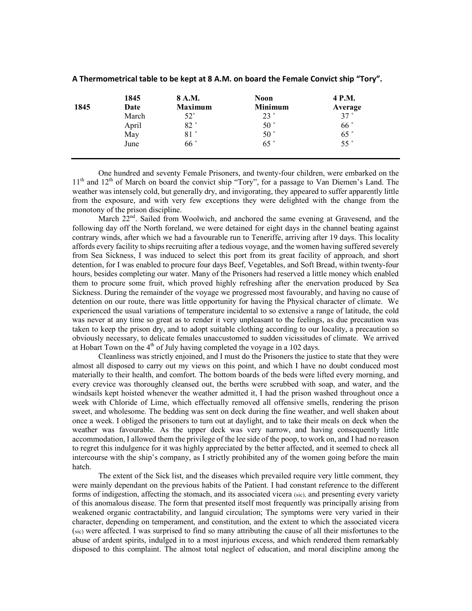|      | 1845  | 8 A.M.         | <b>Noon</b>    | 4 P.M.  |
|------|-------|----------------|----------------|---------|
| 1845 | Date  | <b>Maximum</b> | <b>Minimum</b> | Average |
|      | March | $52^{\circ}$   | 23°            | 37°     |
|      | April | 82°            | $50^{\circ}$   | 66°     |
|      | May   | 81°            | $50^{\circ}$   | 65°     |
|      | June  | 66°            | 65°            | 55°     |

## A Thermometrical table to be kept at 8 A.M. on board the Female Convict ship "Tory".

One hundred and seventy Female Prisoners, and twenty-four children, were embarked on the 11<sup>th</sup> and 12<sup>th</sup> of March on board the convict ship "Tory", for a passage to Van Diemen's Land. The weather was intensely cold, but generally dry, and invigorating, they appeared to suffer apparently little from the exposure, and with very few exceptions they were delighted with the change from the monotony of the prison discipline.

March 22<sup>nd</sup>. Sailed from Woolwich, and anchored the same evening at Gravesend, and the following day off the North foreland, we were detained for eight days in the channel beating against contrary winds, after which we had a favourable run to Teneriffe, arriving after 19 days. This locality affords every facility to ships recruiting after a tedious voyage, and the women having suffered severely from Sea Sickness, I was induced to select this port from its great facility of approach, and short detention, for I was enabled to procure four days Beef, Vegetables, and Soft Bread, within twenty-four hours, besides completing our water. Many of the Prisoners had reserved a little money which enabled them to procure some fruit, which proved highly refreshing after the enervation produced by Sea Sickness. During the remainder of the voyage we progressed most favourably, and having no cause of detention on our route, there was little opportunity for having the Physical character of climate. We experienced the usual variations of temperature incidental to so extensive a range of latitude, the cold was never at any time so great as to render it very unpleasant to the feelings, as due precaution was taken to keep the prison dry, and to adopt suitable clothing according to our locality, a precaution so obviously necessary, to delicate females unaccustomed to sudden vicissitudes of climate. We arrived at Hobart Town on the  $4<sup>th</sup>$  of July having completed the voyage in a 102 days.

 Cleanliness was strictly enjoined, and I must do the Prisoners the justice to state that they were almost all disposed to carry out my views on this point, and which I have no doubt conduced most materially to their health, and comfort. The bottom boards of the beds were lifted every morning, and every crevice was thoroughly cleansed out, the berths were scrubbed with soap, and water, and the windsails kept hoisted whenever the weather admitted it, I had the prison washed throughout once a week with Chloride of Lime, which effectually removed all offensive smells, rendering the prison sweet, and wholesome. The bedding was sent on deck during the fine weather, and well shaken about once a week. I obliged the prisoners to turn out at daylight, and to take their meals on deck when the weather was favourable. As the upper deck was very narrow, and having consequently little accommodation, I allowed them the privilege of the lee side of the poop, to work on, and I had no reason to regret this indulgence for it was highly appreciated by the better affected, and it seemed to check all intercourse with the ship's company, as I strictly prohibited any of the women going before the main hatch.

 The extent of the Sick list, and the diseases which prevailed require very little comment, they were mainly dependant on the previous habits of the Patient. I had constant reference to the different forms of indigestion, affecting the stomach, and its associated vicera (sic), and presenting every variety of this anomalous disease. The form that presented itself most frequently was principally arising from weakened organic contractability, and languid circulation; The symptoms were very varied in their character, depending on temperament, and constitution, and the extent to which the associated vicera (sic) were affected. I was surprised to find so many attributing the cause of all their misfortunes to the abuse of ardent spirits, indulged in to a most injurious excess, and which rendered them remarkably disposed to this complaint. The almost total neglect of education, and moral discipline among the